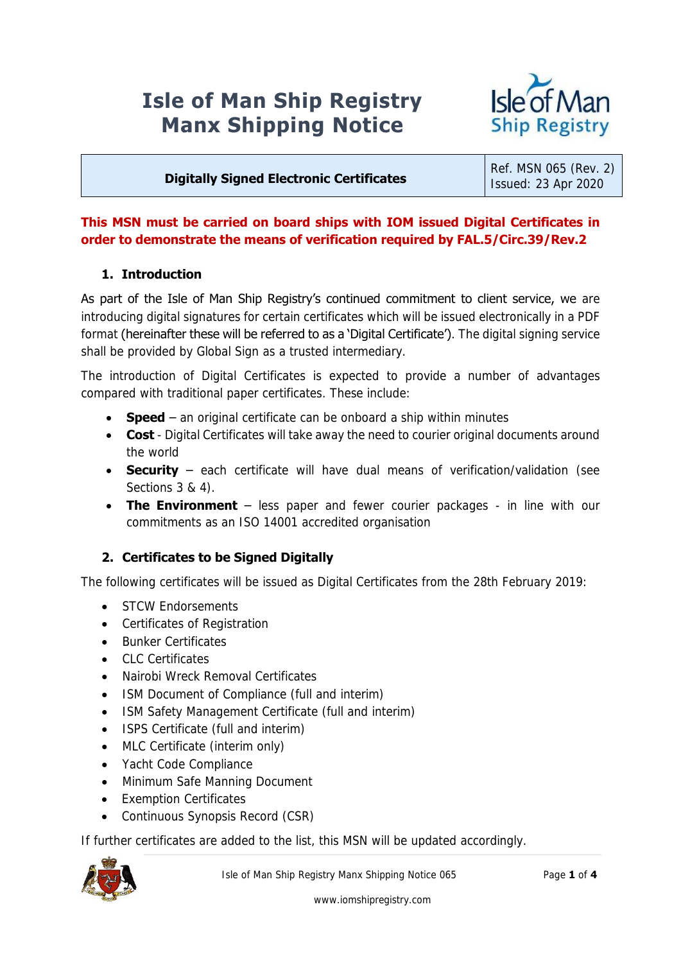# **Isle of Man Ship Registry Manx Shipping Notice**



#### **Digitally Signed Electronic Certificates**

Ref. MSN 065 (Rev. 2) Issued: 23 Apr 2020

#### **This MSN must be carried on board ships with IOM issued Digital Certificates in order to demonstrate the means of verification required by FAL.5/Circ.39/Rev.2**

#### **1. Introduction**

As part of the Isle of Man Ship Registry's continued commitment to client service, we are introducing digital signatures for certain certificates which will be issued electronically in a PDF format (hereinafter these will be referred to as a 'Digital Certificate'). The digital signing service shall be provided by Global Sign as a trusted intermediary.

The introduction of Digital Certificates is expected to provide a number of advantages compared with traditional paper certificates. These include:

- **Speed** an original certificate can be onboard a ship within minutes
- **Cost** Digital Certificates will take away the need to courier original documents around the world
- **Security** each certificate will have dual means of verification/validation (see Sections 3 & 4).
- **The Environment** less paper and fewer courier packages in line with our commitments as an ISO 14001 accredited organisation

#### **2. Certificates to be Signed Digitally**

The following certificates will be issued as Digital Certificates from the 28th February 2019:

- STCW Endorsements
- Certificates of Registration
- Bunker Certificates
- CLC Certificates
- Nairobi Wreck Removal Certificates
- ISM Document of Compliance (full and interim)
- ISM Safety Management Certificate (full and interim)
- ISPS Certificate (full and interim)
- MLC Certificate (interim only)
- Yacht Code Compliance
- Minimum Safe Manning Document
- Exemption Certificates
- Continuous Synopsis Record (CSR)

If further certificates are added to the list, this MSN will be updated accordingly.

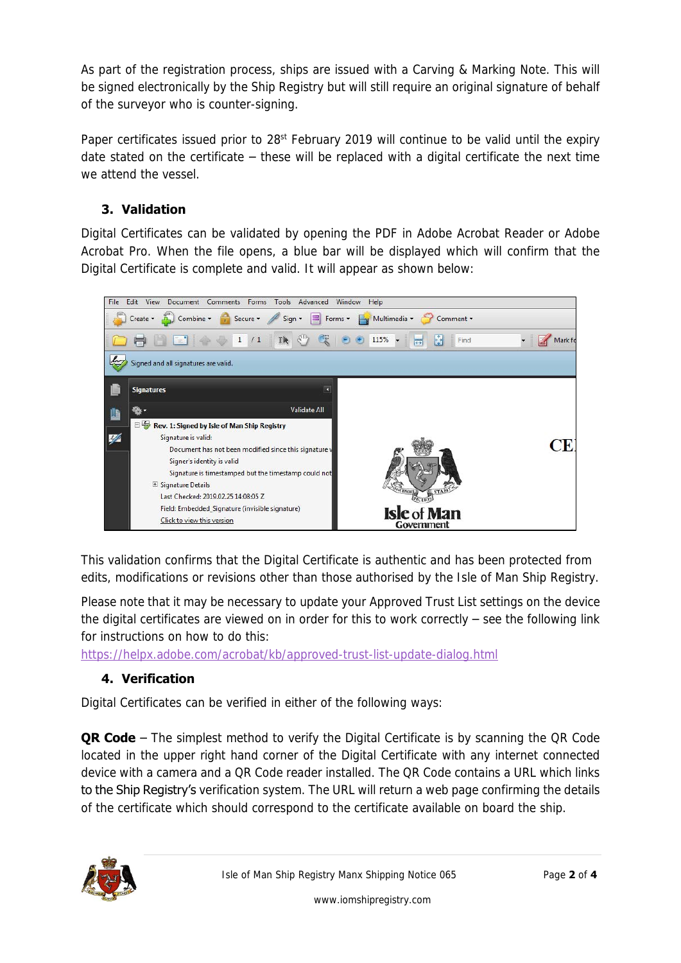As part of the registration process, ships are issued with a Carving & Marking Note. This will be signed electronically by the Ship Registry but will still require an original signature of behalf of the surveyor who is counter-signing.

Paper certificates issued prior to 28<sup>st</sup> February 2019 will continue to be valid until the expiry date stated on the certificate – these will be replaced with a digital certificate the next time we attend the vessel.

# **3. Validation**

Digital Certificates can be validated by opening the PDF in Adobe Acrobat Reader or Adobe Acrobat Pro. When the file opens, a blue bar will be displayed which will confirm that the Digital Certificate is complete and valid. It will appear as shown below:



This validation confirms that the Digital Certificate is authentic and has been protected from edits, modifications or revisions other than those authorised by the Isle of Man Ship Registry.

Please note that it may be necessary to update your Approved Trust List settings on the device the digital certificates are viewed on in order for this to work correctly – see the following link for instructions on how to do this:

<https://helpx.adobe.com/acrobat/kb/approved-trust-list-update-dialog.html>

## **4. Verification**

Digital Certificates can be verified in either of the following ways:

**QR Code** – The simplest method to verify the Digital Certificate is by scanning the QR Code located in the upper right hand corner of the Digital Certificate with any internet connected device with a camera and a QR Code reader installed. The QR Code contains a URL which links to the Ship Registry's verification system. The URL will return a web page confirming the details of the certificate which should correspond to the certificate available on board the ship.

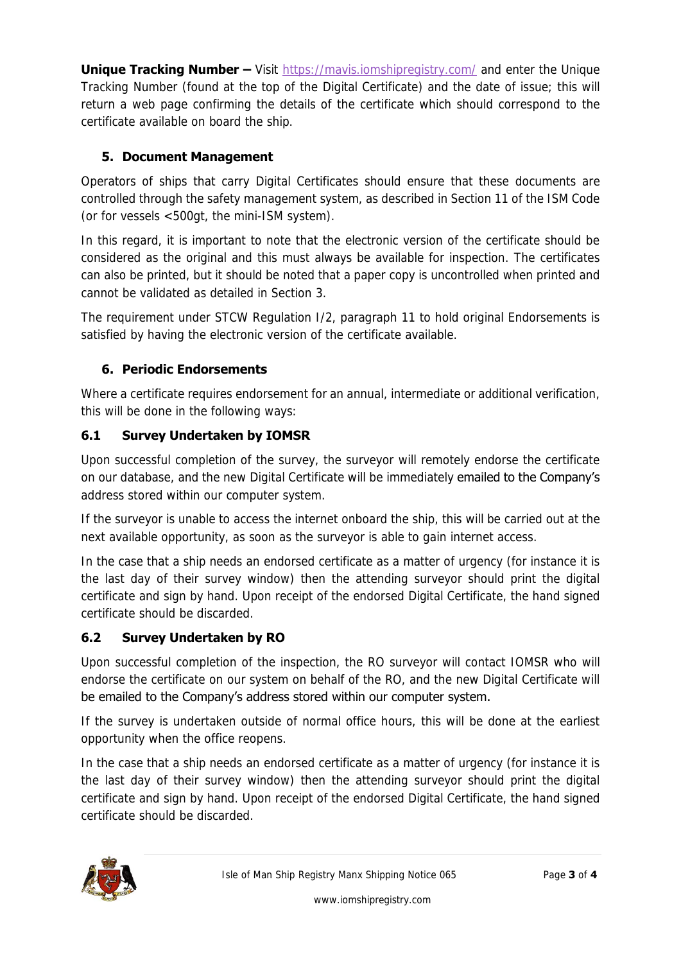**Unique Tracking Number –** Visit<https://mavis.iomshipregistry.com/> and enter the Unique Tracking Number (found at the top of the Digital Certificate) and the date of issue; this will return a web page confirming the details of the certificate which should correspond to the certificate available on board the ship.

# **5. Document Management**

Operators of ships that carry Digital Certificates should ensure that these documents are controlled through the safety management system, as described in Section 11 of the ISM Code (or for vessels <500gt, the mini-ISM system).

In this regard, it is important to note that the electronic version of the certificate should be considered as the original and this must always be available for inspection. The certificates can also be printed, but it should be noted that a paper copy is uncontrolled when printed and cannot be validated as detailed in Section 3.

The requirement under STCW Regulation I/2, paragraph 11 to hold original Endorsements is satisfied by having the electronic version of the certificate available.

# **6. Periodic Endorsements**

Where a certificate requires endorsement for an annual, intermediate or additional verification, this will be done in the following ways:

# **6.1 Survey Undertaken by IOMSR**

Upon successful completion of the survey, the surveyor will remotely endorse the certificate on our database, and the new Digital Certificate will be immediately emailed to the Company's address stored within our computer system.

If the surveyor is unable to access the internet onboard the ship, this will be carried out at the next available opportunity, as soon as the surveyor is able to gain internet access.

In the case that a ship needs an endorsed certificate as a matter of urgency (for instance it is the last day of their survey window) then the attending surveyor should print the digital certificate and sign by hand. Upon receipt of the endorsed Digital Certificate, the hand signed certificate should be discarded.

## **6.2 Survey Undertaken by RO**

Upon successful completion of the inspection, the RO surveyor will contact IOMSR who will endorse the certificate on our system on behalf of the RO, and the new Digital Certificate will be emailed to the Company's address stored within our computer system.

If the survey is undertaken outside of normal office hours, this will be done at the earliest opportunity when the office reopens.

In the case that a ship needs an endorsed certificate as a matter of urgency (for instance it is the last day of their survey window) then the attending surveyor should print the digital certificate and sign by hand. Upon receipt of the endorsed Digital Certificate, the hand signed certificate should be discarded.